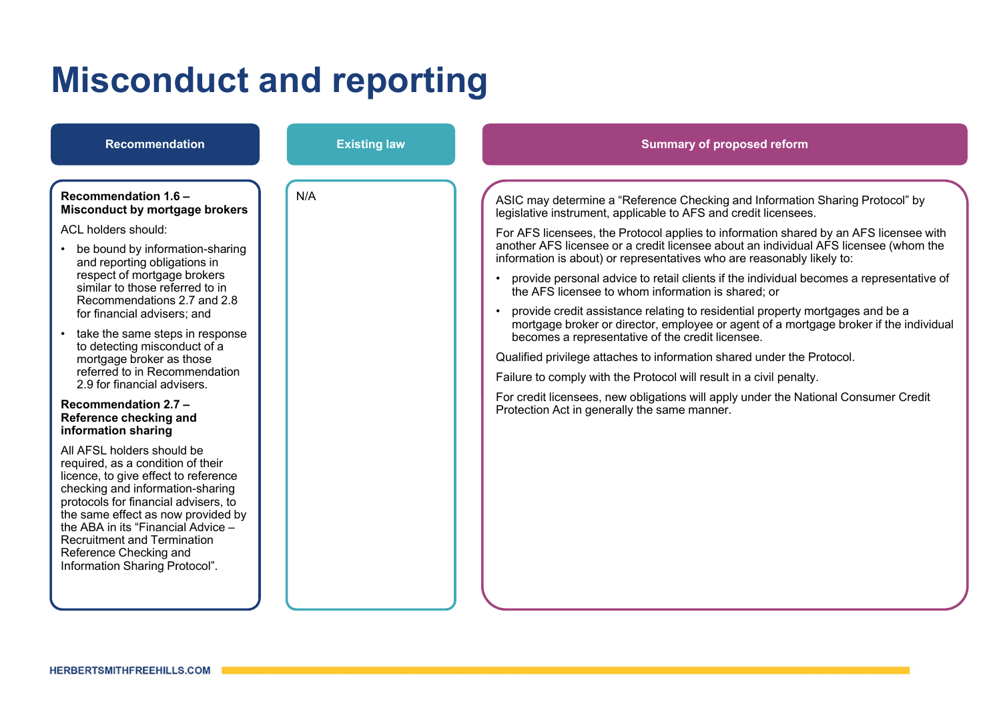# **Misconduct and reporting**

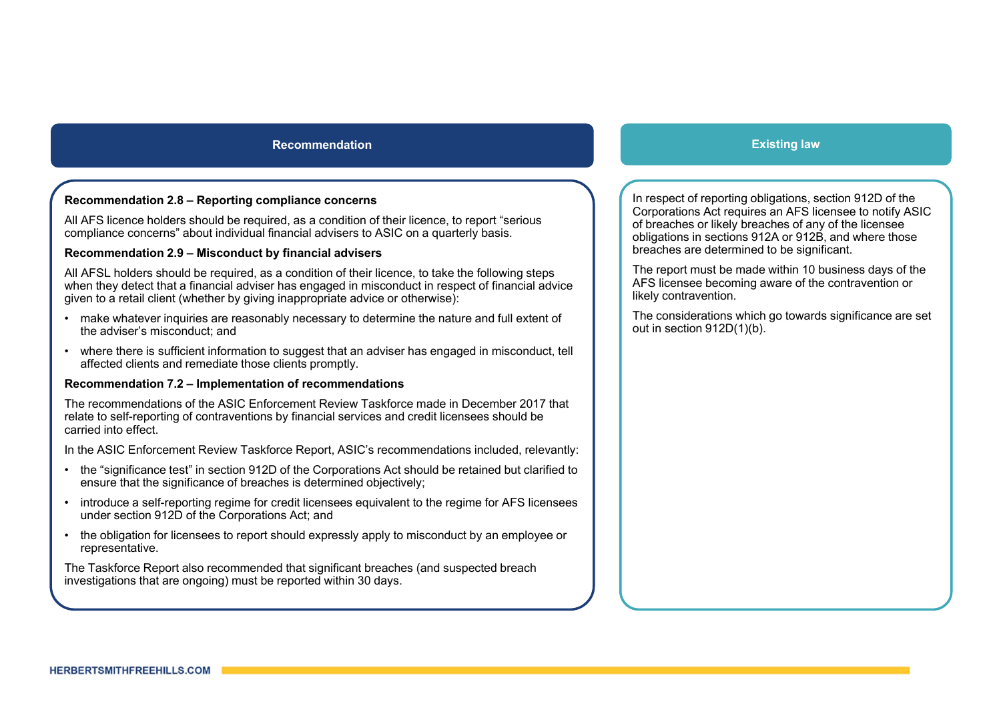# **Recommendation**

# **Recommendation 2.8 – Reporting compliance concerns**

All AFS licence holders should be required, as a condition of their licence, to report "serious compliance concerns" about individual financial advisers to ASIC on a quarterly basis.

#### **Recommendation 2.9 – Misconduct by financial advisers**

All AFSL holders should be required, as a condition of their licence, to take the following steps when they detect that a financial adviser has engaged in misconduct in respect of financial advice given to a retail client (whether by giving inappropriate advice or otherwise):

- make whatever inquiries are reasonably necessary to determine the nature and full extent of the adviser's misconduct; and
- • where there is sufficient information to suggest that an adviser has engaged in misconduct, tell affected clients and remediate those clients promptly.

#### **Recommendation 7.2 – Implementation of recommendations**

The recommendations of the ASIC Enforcement Review Taskforce made in December 2017 that relate to self-reporting of contraventions by financial services and credit licensees should be carried into effect.

In the ASIC Enforcement Review Taskforce Report, ASIC's recommendations included, relevantly:

- the "significance test" in section 912D of the Corporations Act should be retained but clarified to ensure that the significance of breaches is determined objectively;
- • introduce a self-reporting regime for credit licensees equivalent to the regime for AFS licensees under section 912D of the Corporations Act; and
- • the obligation for licensees to report should expressly apply to misconduct by an employee or representative.

The Taskforce Report also recommended that significant breaches (and suspected breach investigations that are ongoing) must be reported within 30 days.

# **Existing law**

In respect of reporting obligations, section 912D of the Corporations Act requires an AFS licensee to notify ASIC of breaches or likely breaches of any of the licensee obligations in sections 912A or 912B, and where those breaches are determined to be significant.

The report must be made within 10 business days of the AFS licensee becoming aware of the contravention or likely contravention.

The considerations which go towards significance are set out in section 912D(1)(b).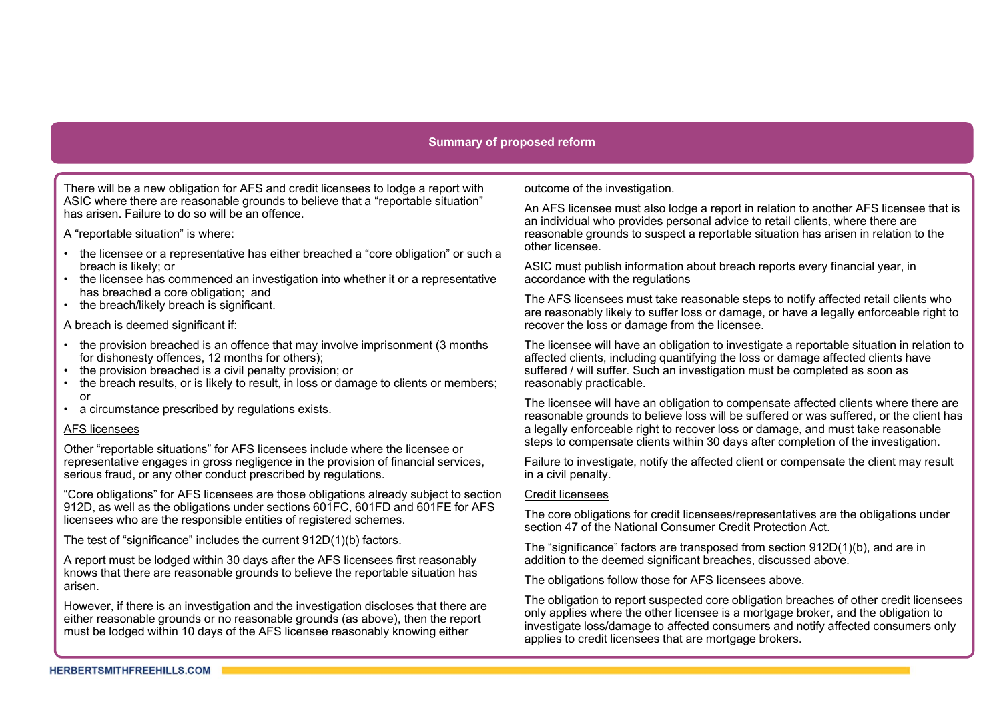# **Summary of proposed reform**

There will be a new obligation for AFS and credit licensees to lodge a report with ASIC where there are reasonable grounds to believe that a "reportable situation" has arisen. Failure to do so will be an offence.

A "reportable situation" is where:

- the licensee or a representative has either breached a "core obligation" or such a breach is likely; or
- the licensee has commenced an investigation into whether it or a representative has breached a core obligation; and
- the breach/likely breach is significant.

A breach is deemed significant if:

- the provision breached is an offence that may involve imprisonment (3 months for dishonesty offences, 12 months for others);
- the provision breached is a civil penalty provision; or
- • the breach results, or is likely to result, in loss or damage to clients or members; or
- a circumstance prescribed by regulations exists.

#### AFS licensees

Other "reportable situations" for AFS licensees include where the licensee or representative engages in gross negligence in the provision of financial services, serious fraud, or any other conduct prescribed by regulations.

"Core obligations" for AFS licensees are those obligations already subject to section 912D, as well as the obligations under sections 601FC, 601FD and 601FE for AFS licensees who are the responsible entities of registered schemes.

The test of "significance" includes the current 912D(1)(b) factors.

A report must be lodged within 30 days after the AFS licensees first reasonably knows that there are reasonable grounds to believe the reportable situation has arisen.

However, if there is an investigation and the investigation discloses that there are either reasonable grounds or no reasonable grounds (as above), then the report must be lodged within 10 days of the AFS licensee reasonably knowing either

outcome of the investigation.

An AFS licensee must also lodge a report in relation to another AFS licensee that is an individual who provides personal advice to retail clients, where there are reasonable grounds to suspect a reportable situation has arisen in relation to the other licensee.

ASIC must publish information about breach reports every financial year, in accordance with the regulations

The AFS licensees must take reasonable steps to notify affected retail clients who are reasonably likely to suffer loss or damage, or have a legally enforceable right to recover the loss or damage from the licensee.

The licensee will have an obligation to investigate a reportable situation in relation to affected clients, including quantifying the loss or damage affected clients have suffered / will suffer. Such an investigation must be completed as soon as reasonably practicable.

The licensee will have an obligation to compensate affected clients where there are reasonable grounds to believe loss will be suffered or was suffered, or the client has a legally enforceable right to recover loss or damage, and must take reasonable steps to compensate clients within 30 days after completion of the investigation.

Failure to investigate, notify the affected client or compensate the client may result in a civil penalty.

#### Credit licensees

The core obligations for credit licensees/representatives are the obligations under section 47 of the National Consumer Credit Protection Act.

The "significance" factors are transposed from section 912D(1)(b), and are in addition to the deemed significant breaches, discussed above.

The obligations follow those for AFS licensees above.

The obligation to report suspected core obligation breaches of other credit licensees only applies where the other licensee is a mortgage broker, and the obligation to investigate loss/damage to affected consumers and notify affected consumers only applies to credit licensees that are mortgage brokers.